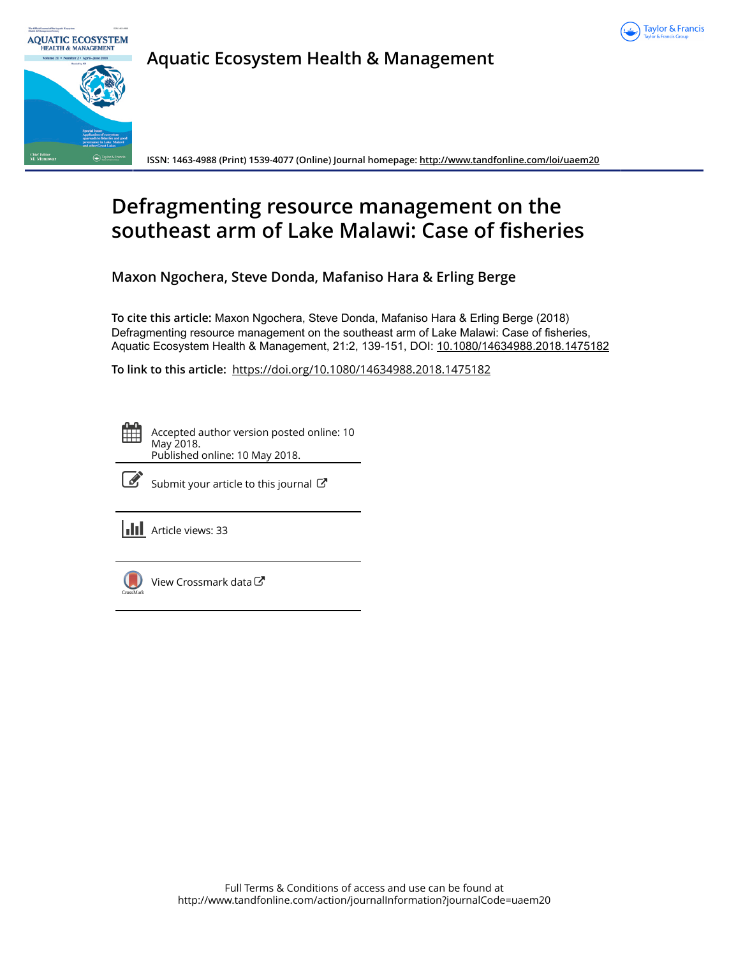



**Aquatic Ecosystem Health & Management**

**ISSN: 1463-4988 (Print) 1539-4077 (Online) Journal homepage:<http://www.tandfonline.com/loi/uaem20>**

# **Defragmenting resource management on the southeast arm of Lake Malawi: Case of fisheries**

**Maxon Ngochera, Steve Donda, Mafaniso Hara & Erling Berge**

**To cite this article:** Maxon Ngochera, Steve Donda, Mafaniso Hara & Erling Berge (2018) Defragmenting resource management on the southeast arm of Lake Malawi: Case of fisheries, Aquatic Ecosystem Health & Management, 21:2, 139-151, DOI: [10.1080/14634988.2018.1475182](http://www.tandfonline.com/action/showCitFormats?doi=10.1080/14634988.2018.1475182)

**To link to this article:** <https://doi.org/10.1080/14634988.2018.1475182>



Accepted author version posted online: 10 May 2018. Published online: 10 May 2018.



 $\mathbb{Z}$  [Submit your article to this journal](http://www.tandfonline.com/action/authorSubmission?journalCode=uaem20&show=instructions)  $\mathbb{Z}$ 

**III** Article views: 33



[View Crossmark data](http://crossmark.crossref.org/dialog/?doi=10.1080/14634988.2018.1475182&domain=pdf&date_stamp=2018-05-10)<sup>C</sup>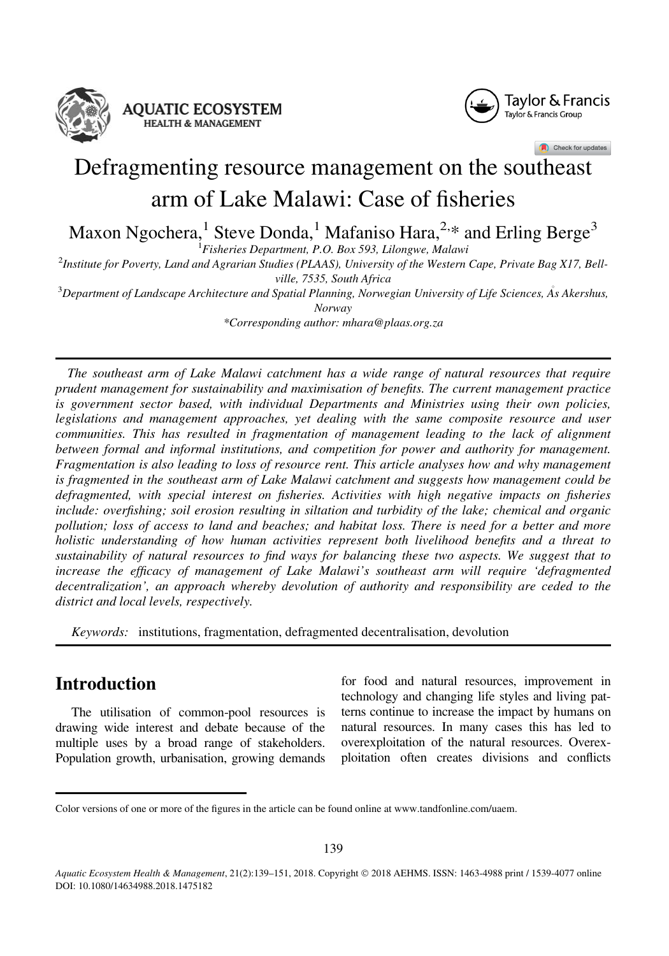





Check for updates

# Defragmenting resource management on the southeast arm of Lake Malawi: Case of fisheries

Maxon Ngochera,<sup>1</sup> Steve Donda,<sup>1</sup> Mafaniso Hara,<sup>2,\*</sup> and Erling Berge<sup>3</sup>

<sup>1</sup>Fisheries Department, P.O. Box 593, Lilongwe, Malawi

<sup>1</sup>Fisheries Department, P.O. Box 593, Lilongwe, Malawi<br>2 Institute for Poverty, Land and Agrarian Studies (PLAAS), University of the Western Cape, Private Bag X17, Bell

ville, 7535, South Africa<br><sup>3</sup>Department of Landscape Architecture and Spatial Planning, Norwegian University of Life Sciences, Ås Akershus, Norway

\*Corresponding author: mhara@plaas.org.za

The southeast arm of Lake Malawi catchment has a wide range of natural resources that require prudent management for sustainability and maximisation of benefits. The current management practice is government sector based, with individual Departments and Ministries using their own policies, legislations and management approaches, yet dealing with the same composite resource and user communities. This has resulted in fragmentation of management leading to the lack of alignment between formal and informal institutions, and competition for power and authority for management. Fragmentation is also leading to loss of resource rent. This article analyses how and why management is fragmented in the southeast arm of Lake Malawi catchment and suggests how management could be defragmented, with special interest on fisheries. Activities with high negative impacts on fisheries include: overfishing; soil erosion resulting in siltation and turbidity of the lake; chemical and organic pollution; loss of access to land and beaches; and habitat loss. There is need for a better and more holistic understanding of how human activities represent both livelihood benefits and a threat to sustainability of natural resources to find ways for balancing these two aspects. We suggest that to increase the efficacy of management of Lake Malawi's southeast arm will require 'defragmented decentralization', an approach whereby devolution of authority and responsibility are ceded to the district and local levels, respectively.

Keywords: institutions, fragmentation, defragmented decentralisation, devolution

# Introduction

The utilisation of common-pool resources is drawing wide interest and debate because of the multiple uses by a broad range of stakeholders. Population growth, urbanisation, growing demands

for food and natural resources, improvement in technology and changing life styles and living patterns continue to increase the impact by humans on natural resources. In many cases this has led to overexploitation of the natural resources. Overexploitation often creates divisions and conflicts

139

Color versions of one or more of the figures in the article can be found online at [www.tandfonline.com/uaem.](http://www.tandfonline.com/uaem)

Aquatic Ecosystem Health & Management, 21(2):139-151, 2018. Copyright © 2018 AEHMS. ISSN: 1463-4988 print / 1539-4077 online DOI: 10.1080/14634988.2018.1475182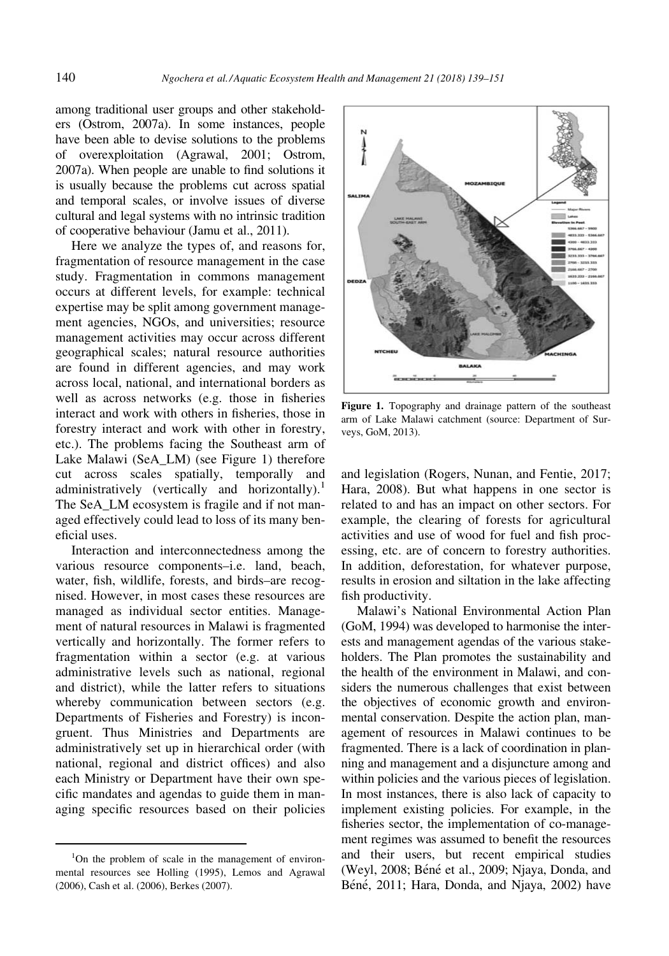among traditional user groups and other stakeholders (Ostrom, 2007a). In some instances, people have been able to devise solutions to the problems of overexploitation (Agrawal, 2001; Ostrom, 2007a). When people are unable to find solutions it is usually because the problems cut across spatial and temporal scales, or involve issues of diverse cultural and legal systems with no intrinsic tradition of cooperative behaviour (Jamu et al., 2011).

Here we analyze the types of, and reasons for, fragmentation of resource management in the case study. Fragmentation in commons management occurs at different levels, for example: technical expertise may be split among government management agencies, NGOs, and universities; resource management activities may occur across different geographical scales; natural resource authorities are found in different agencies, and may work across local, national, and international borders as well as across networks (e.g. those in fisheries interact and work with others in fisheries, those in forestry interact and work with other in forestry, etc.). The problems facing the Southeast arm of Lake Malawi (SeA\_LM) (see Figure 1) therefore cut across scales spatially, temporally and administratively (vertically and horizontally). $<sup>1</sup>$ </sup> The SeA\_LM ecosystem is fragile and if not managed effectively could lead to loss of its many beneficial uses.

Interaction and interconnectedness among the various resource components–i.e. land, beach, water, fish, wildlife, forests, and birds–are recognised. However, in most cases these resources are managed as individual sector entities. Management of natural resources in Malawi is fragmented vertically and horizontally. The former refers to fragmentation within a sector (e.g. at various administrative levels such as national, regional and district), while the latter refers to situations whereby communication between sectors (e.g. Departments of Fisheries and Forestry) is incongruent. Thus Ministries and Departments are administratively set up in hierarchical order (with national, regional and district offices) and also each Ministry or Department have their own specific mandates and agendas to guide them in managing specific resources based on their policies



Figure 1. Topography and drainage pattern of the southeast arm of Lake Malawi catchment (source: Department of Surveys, GoM, 2013).

and legislation (Rogers, Nunan, and Fentie, 2017; Hara, 2008). But what happens in one sector is related to and has an impact on other sectors. For example, the clearing of forests for agricultural activities and use of wood for fuel and fish processing, etc. are of concern to forestry authorities. In addition, deforestation, for whatever purpose, results in erosion and siltation in the lake affecting fish productivity.

Malawi's National Environmental Action Plan (GoM, 1994) was developed to harmonise the interests and management agendas of the various stakeholders. The Plan promotes the sustainability and the health of the environment in Malawi, and considers the numerous challenges that exist between the objectives of economic growth and environmental conservation. Despite the action plan, management of resources in Malawi continues to be fragmented. There is a lack of coordination in planning and management and a disjuncture among and within policies and the various pieces of legislation. In most instances, there is also lack of capacity to implement existing policies. For example, in the fisheries sector, the implementation of co-management regimes was assumed to benefit the resources and their users, but recent empirical studies (Weyl, 2008; Béné et al., 2009; Njaya, Donda, and Béné, 2011; Hara, Donda, and Njaya, 2002) have

<sup>&</sup>lt;sup>1</sup>On the problem of scale in the management of environmental resources see Holling (1995), Lemos and Agrawal (2006), Cash et al. (2006), Berkes (2007).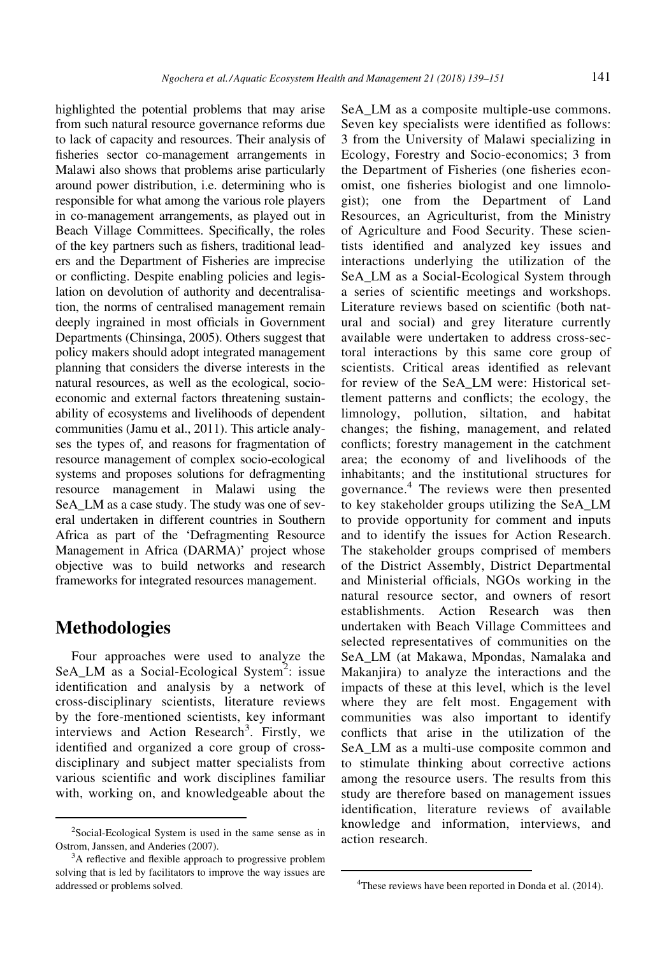highlighted the potential problems that may arise from such natural resource governance reforms due to lack of capacity and resources. Their analysis of fisheries sector co-management arrangements in Malawi also shows that problems arise particularly around power distribution, i.e. determining who is responsible for what among the various role players in co-management arrangements, as played out in Beach Village Committees. Specifically, the roles of the key partners such as fishers, traditional leaders and the Department of Fisheries are imprecise or conflicting. Despite enabling policies and legislation on devolution of authority and decentralisation, the norms of centralised management remain deeply ingrained in most officials in Government Departments (Chinsinga, 2005). Others suggest that policy makers should adopt integrated management planning that considers the diverse interests in the natural resources, as well as the ecological, socioeconomic and external factors threatening sustainability of ecosystems and livelihoods of dependent communities (Jamu et al., 2011). This article analyses the types of, and reasons for fragmentation of resource management of complex socio-ecological systems and proposes solutions for defragmenting resource management in Malawi using the SeA\_LM as a case study. The study was one of several undertaken in different countries in Southern Africa as part of the 'Defragmenting Resource Management in Africa (DARMA)' project whose objective was to build networks and research frameworks for integrated resources management.

# Methodologies

Four approaches were used to analyze the SeA\_LM as a Social-Ecological System<sup>2</sup>: issue identification and analysis by a network of cross-disciplinary scientists, literature reviews by the fore-mentioned scientists, key informant interviews and Action Research<sup>3</sup>. Firstly, we identified and organized a core group of crossdisciplinary and subject matter specialists from various scientific and work disciplines familiar with, working on, and knowledgeable about the SeA\_LM as a composite multiple-use commons. Seven key specialists were identified as follows: 3 from the University of Malawi specializing in Ecology, Forestry and Socio-economics; 3 from the Department of Fisheries (one fisheries economist, one fisheries biologist and one limnologist); one from the Department of Land Resources, an Agriculturist, from the Ministry of Agriculture and Food Security. These scientists identified and analyzed key issues and interactions underlying the utilization of the SeA\_LM as a Social-Ecological System through a series of scientific meetings and workshops. Literature reviews based on scientific (both natural and social) and grey literature currently available were undertaken to address cross-sectoral interactions by this same core group of scientists. Critical areas identified as relevant for review of the SeA\_LM were: Historical settlement patterns and conflicts; the ecology, the limnology, pollution, siltation, and habitat changes; the fishing, management, and related conflicts; forestry management in the catchment area; the economy of and livelihoods of the inhabitants; and the institutional structures for governance.<sup>4</sup> The reviews were then presented to key stakeholder groups utilizing the SeA\_LM to provide opportunity for comment and inputs and to identify the issues for Action Research. The stakeholder groups comprised of members of the District Assembly, District Departmental and Ministerial officials, NGOs working in the natural resource sector, and owners of resort establishments. Action Research was then undertaken with Beach Village Committees and selected representatives of communities on the SeA\_LM (at Makawa, Mpondas, Namalaka and Makanjira) to analyze the interactions and the impacts of these at this level, which is the level where they are felt most. Engagement with communities was also important to identify conflicts that arise in the utilization of the SeA\_LM as a multi-use composite common and to stimulate thinking about corrective actions among the resource users. The results from this study are therefore based on management issues identification, literature reviews of available knowledge and information, interviews, and

 $\frac{2\text{Social-Ecological System is used in the same sense as in action research.}}{2\text{cm}}$ Ostrom, Janssen, and Anderies (2007).

<sup>&</sup>lt;sup>3</sup>A reflective and flexible approach to progressive problem solving that is led by facilitators to improve the way issues are addressed or problems solved. <sup>4</sup>

<sup>&</sup>lt;sup>4</sup>These reviews have been reported in Donda et al. (2014).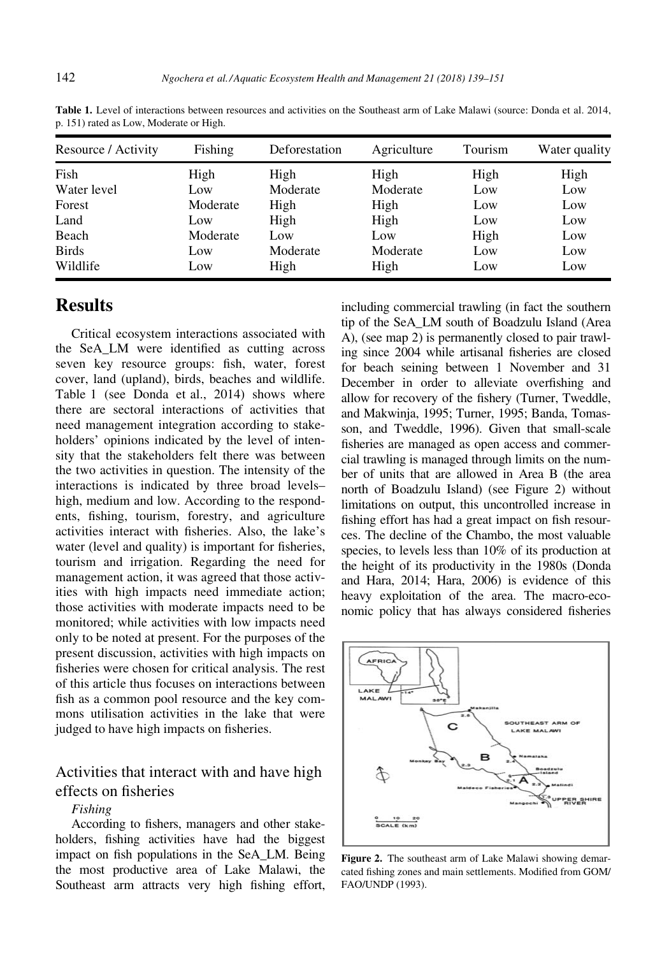| Resource / Activity | Fishing  | Deforestation | Agriculture | Tourism | Water quality |
|---------------------|----------|---------------|-------------|---------|---------------|
| Fish                | High     | High          | High        | High    | High          |
| Water level         | Low      | Moderate      | Moderate    | Low     | Low           |
| Forest              | Moderate | High          | High        | Low     | Low           |
| Land                | Low      | High          | High        | Low     | Low           |
| Beach               | Moderate | Low           | Low         | High    | Low           |
| <b>Birds</b>        | Low      | Moderate      | Moderate    | Low     | Low           |
| Wildlife            | Low      | High          | High        | Low     | Low           |

Table 1. Level of interactions between resources and activities on the Southeast arm of Lake Malawi (source: Donda et al. 2014, p. 151) rated as Low, Moderate or High.

# **Results**

Critical ecosystem interactions associated with the SeA\_LM were identified as cutting across seven key resource groups: fish, water, forest cover, land (upland), birds, beaches and wildlife. Table 1 (see Donda et al., 2014) shows where there are sectoral interactions of activities that need management integration according to stakeholders' opinions indicated by the level of intensity that the stakeholders felt there was between the two activities in question. The intensity of the interactions is indicated by three broad levels– high, medium and low. According to the respondents, fishing, tourism, forestry, and agriculture activities interact with fisheries. Also, the lake's water (level and quality) is important for fisheries, tourism and irrigation. Regarding the need for management action, it was agreed that those activities with high impacts need immediate action; those activities with moderate impacts need to be monitored; while activities with low impacts need only to be noted at present. For the purposes of the present discussion, activities with high impacts on fisheries were chosen for critical analysis. The rest of this article thus focuses on interactions between fish as a common pool resource and the key commons utilisation activities in the lake that were judged to have high impacts on fisheries.

## Activities that interact with and have high effects on fisheries

#### Fishing

According to fishers, managers and other stakeholders, fishing activities have had the biggest impact on fish populations in the SeA\_LM. Being the most productive area of Lake Malawi, the Southeast arm attracts very high fishing effort,

including commercial trawling (in fact the southern tip of the SeA\_LM south of Boadzulu Island (Area A), (see map 2) is permanently closed to pair trawling since 2004 while artisanal fisheries are closed for beach seining between 1 November and 31 December in order to alleviate overfishing and allow for recovery of the fishery (Turner, Tweddle, and Makwinja, 1995; Turner, 1995; Banda, Tomasson, and Tweddle, 1996). Given that small-scale fisheries are managed as open access and commercial trawling is managed through limits on the number of units that are allowed in Area B (the area north of Boadzulu Island) (see Figure 2) without limitations on output, this uncontrolled increase in fishing effort has had a great impact on fish resources. The decline of the Chambo, the most valuable species, to levels less than 10% of its production at the height of its productivity in the 1980s (Donda and Hara, 2014; Hara, 2006) is evidence of this heavy exploitation of the area. The macro-economic policy that has always considered fisheries



Figure 2. The southeast arm of Lake Malawi showing demarcated fishing zones and main settlements. Modified from GOM/ FAO/UNDP (1993).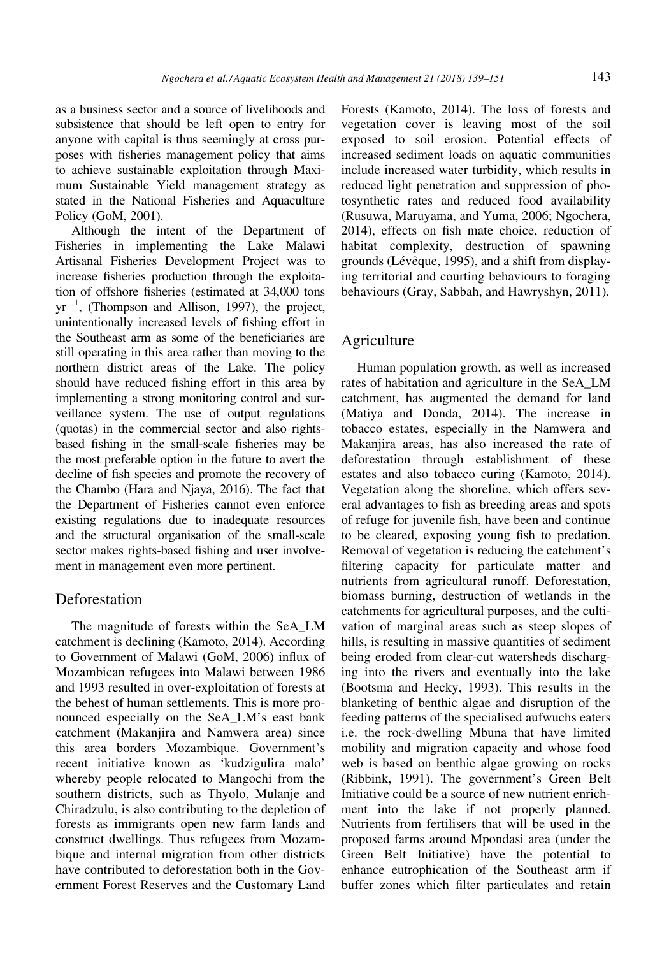as a business sector and a source of livelihoods and subsistence that should be left open to entry for anyone with capital is thus seemingly at cross purposes with fisheries management policy that aims to achieve sustainable exploitation through Maximum Sustainable Yield management strategy as stated in the National Fisheries and Aquaculture Policy (GoM, 2001).

Although the intent of the Department of Fisheries in implementing the Lake Malawi Artisanal Fisheries Development Project was to increase fisheries production through the exploitation of offshore fisheries (estimated at 34,000 tons  $yr^{-1}$ , (Thompson and Allison, 1997), the project, unintentionally increased levels of fishing effort in the Southeast arm as some of the beneficiaries are still operating in this area rather than moving to the northern district areas of the Lake. The policy should have reduced fishing effort in this area by implementing a strong monitoring control and surveillance system. The use of output regulations (quotas) in the commercial sector and also rightsbased fishing in the small-scale fisheries may be the most preferable option in the future to avert the decline of fish species and promote the recovery of the Chambo (Hara and Njaya, 2016). The fact that the Department of Fisheries cannot even enforce existing regulations due to inadequate resources and the structural organisation of the small-scale sector makes rights-based fishing and user involvement in management even more pertinent.

#### Deforestation

The magnitude of forests within the SeA\_LM catchment is declining (Kamoto, 2014). According to Government of Malawi (GoM, 2006) influx of Mozambican refugees into Malawi between 1986 and 1993 resulted in over-exploitation of forests at the behest of human settlements. This is more pronounced especially on the SeA\_LM's east bank catchment (Makanjira and Namwera area) since this area borders Mozambique. Government's recent initiative known as 'kudzigulira malo' whereby people relocated to Mangochi from the southern districts, such as Thyolo, Mulanje and Chiradzulu, is also contributing to the depletion of forests as immigrants open new farm lands and construct dwellings. Thus refugees from Mozambique and internal migration from other districts have contributed to deforestation both in the Government Forest Reserves and the Customary Land

Forests (Kamoto, 2014). The loss of forests and vegetation cover is leaving most of the soil exposed to soil erosion. Potential effects of increased sediment loads on aquatic communities include increased water turbidity, which results in reduced light penetration and suppression of photosynthetic rates and reduced food availability (Rusuwa, Maruyama, and Yuma, 2006; Ngochera, 2014), effects on fish mate choice, reduction of habitat complexity, destruction of spawning grounds (Lévêque, 1995), and a shift from displaying territorial and courting behaviours to foraging behaviours (Gray, Sabbah, and Hawryshyn, 2011).

### Agriculture

Human population growth, as well as increased rates of habitation and agriculture in the SeA\_LM catchment, has augmented the demand for land (Matiya and Donda, 2014). The increase in tobacco estates, especially in the Namwera and Makanjira areas, has also increased the rate of deforestation through establishment of these estates and also tobacco curing (Kamoto, 2014). Vegetation along the shoreline, which offers several advantages to fish as breeding areas and spots of refuge for juvenile fish, have been and continue to be cleared, exposing young fish to predation. Removal of vegetation is reducing the catchment's filtering capacity for particulate matter and nutrients from agricultural runoff. Deforestation, biomass burning, destruction of wetlands in the catchments for agricultural purposes, and the cultivation of marginal areas such as steep slopes of hills, is resulting in massive quantities of sediment being eroded from clear-cut watersheds discharging into the rivers and eventually into the lake (Bootsma and Hecky, 1993). This results in the blanketing of benthic algae and disruption of the feeding patterns of the specialised aufwuchs eaters i.e. the rock-dwelling Mbuna that have limited mobility and migration capacity and whose food web is based on benthic algae growing on rocks (Ribbink, 1991). The government's Green Belt Initiative could be a source of new nutrient enrichment into the lake if not properly planned. Nutrients from fertilisers that will be used in the proposed farms around Mpondasi area (under the Green Belt Initiative) have the potential to enhance eutrophication of the Southeast arm if buffer zones which filter particulates and retain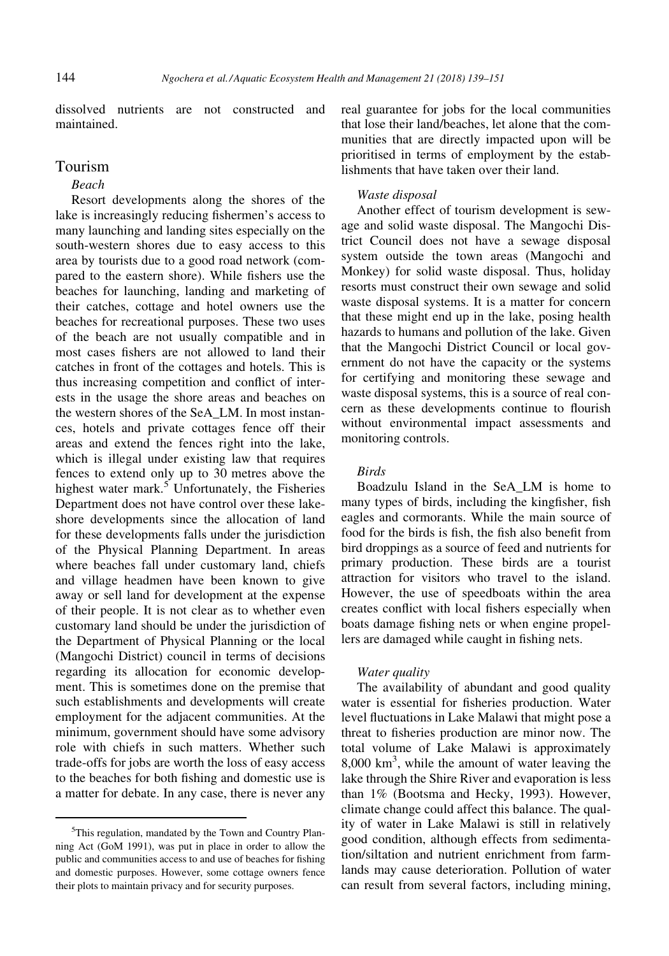dissolved nutrients are not constructed and maintained.

#### Tourism

#### Beach

Resort developments along the shores of the lake is increasingly reducing fishermen's access to many launching and landing sites especially on the south-western shores due to easy access to this area by tourists due to a good road network (compared to the eastern shore). While fishers use the beaches for launching, landing and marketing of their catches, cottage and hotel owners use the beaches for recreational purposes. These two uses of the beach are not usually compatible and in most cases fishers are not allowed to land their catches in front of the cottages and hotels. This is thus increasing competition and conflict of interests in the usage the shore areas and beaches on the western shores of the SeA\_LM. In most instances, hotels and private cottages fence off their areas and extend the fences right into the lake, which is illegal under existing law that requires fences to extend only up to 30 metres above the highest water mark.<sup>5</sup> Unfortunately, the Fisheries Department does not have control over these lakeshore developments since the allocation of land for these developments falls under the jurisdiction of the Physical Planning Department. In areas where beaches fall under customary land, chiefs and village headmen have been known to give away or sell land for development at the expense of their people. It is not clear as to whether even customary land should be under the jurisdiction of the Department of Physical Planning or the local (Mangochi District) council in terms of decisions regarding its allocation for economic development. This is sometimes done on the premise that such establishments and developments will create employment for the adjacent communities. At the minimum, government should have some advisory role with chiefs in such matters. Whether such trade-offs for jobs are worth the loss of easy access to the beaches for both fishing and domestic use is a matter for debate. In any case, there is never any real guarantee for jobs for the local communities that lose their land/beaches, let alone that the communities that are directly impacted upon will be prioritised in terms of employment by the establishments that have taken over their land.

#### Waste disposal

Another effect of tourism development is sewage and solid waste disposal. The Mangochi District Council does not have a sewage disposal system outside the town areas (Mangochi and Monkey) for solid waste disposal. Thus, holiday resorts must construct their own sewage and solid waste disposal systems. It is a matter for concern that these might end up in the lake, posing health hazards to humans and pollution of the lake. Given that the Mangochi District Council or local government do not have the capacity or the systems for certifying and monitoring these sewage and waste disposal systems, this is a source of real concern as these developments continue to flourish without environmental impact assessments and monitoring controls.

#### Birds

Boadzulu Island in the SeA\_LM is home to many types of birds, including the kingfisher, fish eagles and cormorants. While the main source of food for the birds is fish, the fish also benefit from bird droppings as a source of feed and nutrients for primary production. These birds are a tourist attraction for visitors who travel to the island. However, the use of speedboats within the area creates conflict with local fishers especially when boats damage fishing nets or when engine propellers are damaged while caught in fishing nets.

#### Water quality

The availability of abundant and good quality water is essential for fisheries production. Water level fluctuations in Lake Malawi that might pose a threat to fisheries production are minor now. The total volume of Lake Malawi is approximately 8,000 km3 , while the amount of water leaving the lake through the Shire River and evaporation is less than 1% (Bootsma and Hecky, 1993). However, climate change could affect this balance. The quality of water in Lake Malawi is still in relatively good condition, although effects from sedimentation/siltation and nutrient enrichment from farmlands may cause deterioration. Pollution of water can result from several factors, including mining,

<sup>&</sup>lt;sup>5</sup>This regulation, mandated by the Town and Country Planning Act (GoM 1991), was put in place in order to allow the public and communities access to and use of beaches for fishing and domestic purposes. However, some cottage owners fence their plots to maintain privacy and for security purposes.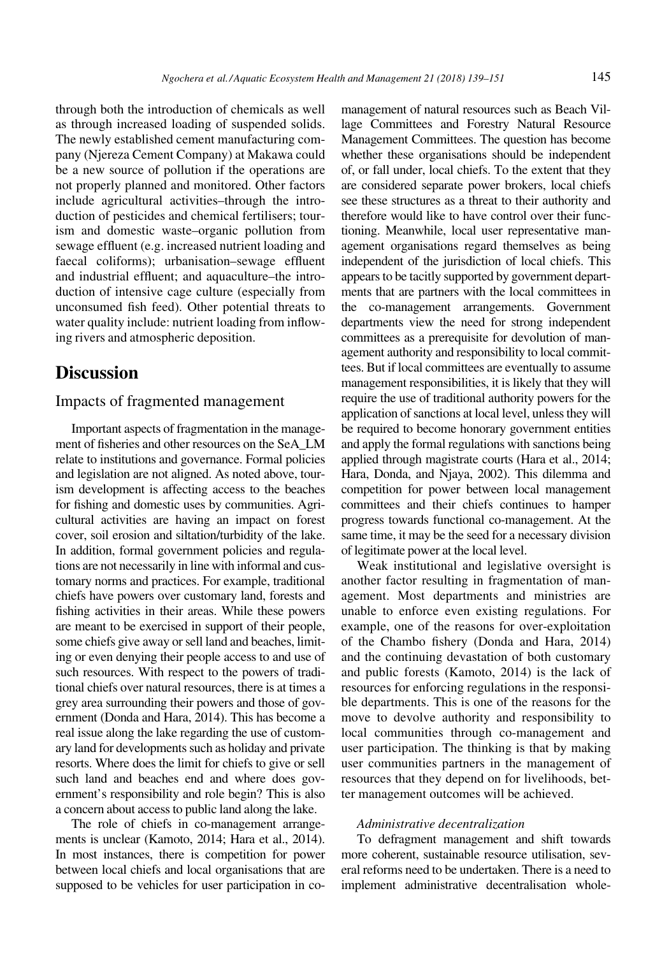through both the introduction of chemicals as well as through increased loading of suspended solids. The newly established cement manufacturing company (Njereza Cement Company) at Makawa could be a new source of pollution if the operations are not properly planned and monitored. Other factors include agricultural activities–through the introduction of pesticides and chemical fertilisers; tourism and domestic waste–organic pollution from sewage effluent (e.g. increased nutrient loading and faecal coliforms); urbanisation–sewage effluent and industrial effluent; and aquaculture–the introduction of intensive cage culture (especially from unconsumed fish feed). Other potential threats to water quality include: nutrient loading from inflowing rivers and atmospheric deposition.

# **Discussion**

#### Impacts of fragmented management

Important aspects of fragmentation in the management of fisheries and other resources on the SeA\_LM relate to institutions and governance. Formal policies and legislation are not aligned. As noted above, tourism development is affecting access to the beaches for fishing and domestic uses by communities. Agricultural activities are having an impact on forest cover, soil erosion and siltation/turbidity of the lake. In addition, formal government policies and regulations are not necessarily in line with informal and customary norms and practices. For example, traditional chiefs have powers over customary land, forests and fishing activities in their areas. While these powers are meant to be exercised in support of their people, some chiefs give away or sell land and beaches, limiting or even denying their people access to and use of such resources. With respect to the powers of traditional chiefs over natural resources, there is at times a grey area surrounding their powers and those of government (Donda and Hara, 2014). This has become a real issue along the lake regarding the use of customary land for developments such as holiday and private resorts. Where does the limit for chiefs to give or sell such land and beaches end and where does government's responsibility and role begin? This is also a concern about access to public land along the lake.

The role of chiefs in co-management arrangements is unclear (Kamoto, 2014; Hara et al., 2014). In most instances, there is competition for power between local chiefs and local organisations that are supposed to be vehicles for user participation in comanagement of natural resources such as Beach Village Committees and Forestry Natural Resource Management Committees. The question has become whether these organisations should be independent of, or fall under, local chiefs. To the extent that they are considered separate power brokers, local chiefs see these structures as a threat to their authority and therefore would like to have control over their functioning. Meanwhile, local user representative management organisations regard themselves as being independent of the jurisdiction of local chiefs. This appears to be tacitly supported by government departments that are partners with the local committees in the co-management arrangements. Government departments view the need for strong independent committees as a prerequisite for devolution of management authority and responsibility to local committees. But if local committees are eventually to assume management responsibilities, it is likely that they will require the use of traditional authority powers for the application of sanctions at local level, unless they will be required to become honorary government entities and apply the formal regulations with sanctions being applied through magistrate courts (Hara et al., 2014; Hara, Donda, and Njaya, 2002). This dilemma and competition for power between local management committees and their chiefs continues to hamper progress towards functional co-management. At the same time, it may be the seed for a necessary division of legitimate power at the local level.

Weak institutional and legislative oversight is another factor resulting in fragmentation of management. Most departments and ministries are unable to enforce even existing regulations. For example, one of the reasons for over-exploitation of the Chambo fishery (Donda and Hara, 2014) and the continuing devastation of both customary and public forests (Kamoto, 2014) is the lack of resources for enforcing regulations in the responsible departments. This is one of the reasons for the move to devolve authority and responsibility to local communities through co-management and user participation. The thinking is that by making user communities partners in the management of resources that they depend on for livelihoods, better management outcomes will be achieved.

#### Administrative decentralization

To defragment management and shift towards more coherent, sustainable resource utilisation, several reforms need to be undertaken. There is a need to implement administrative decentralisation whole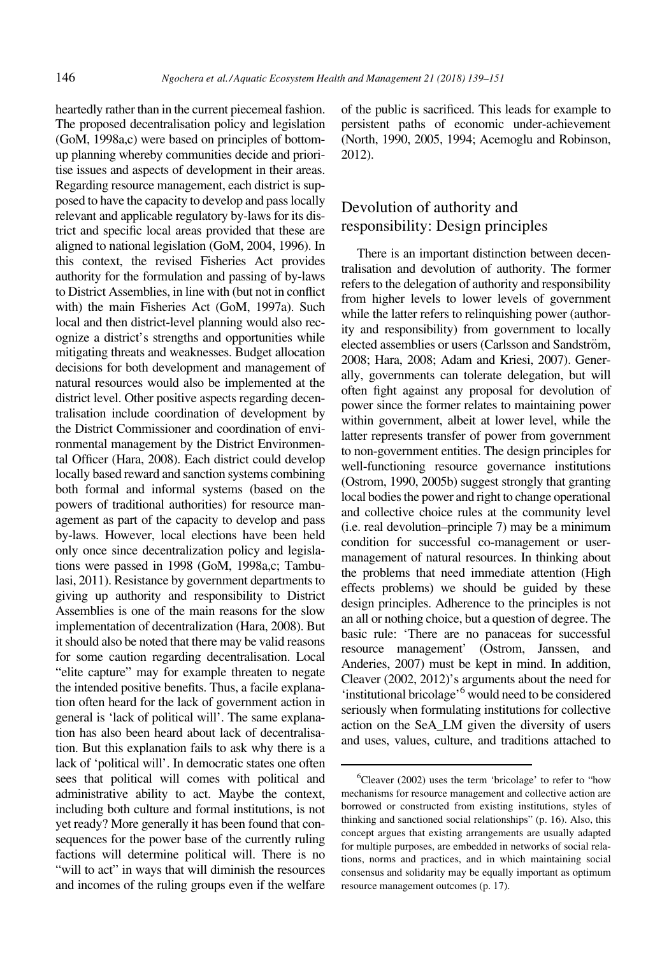heartedly rather than in the current piecemeal fashion. The proposed decentralisation policy and legislation (GoM, 1998a,c) were based on principles of bottomup planning whereby communities decide and prioritise issues and aspects of development in their areas. Regarding resource management, each district is supposed to have the capacity to develop and pass locally relevant and applicable regulatory by-laws for its district and specific local areas provided that these are aligned to national legislation (GoM, 2004, 1996). In this context, the revised Fisheries Act provides authority for the formulation and passing of by-laws to District Assemblies, in line with (but not in conflict with) the main Fisheries Act (GoM, 1997a). Such local and then district-level planning would also recognize a district's strengths and opportunities while mitigating threats and weaknesses. Budget allocation decisions for both development and management of natural resources would also be implemented at the district level. Other positive aspects regarding decentralisation include coordination of development by the District Commissioner and coordination of environmental management by the District Environmental Officer (Hara, 2008). Each district could develop locally based reward and sanction systems combining both formal and informal systems (based on the powers of traditional authorities) for resource management as part of the capacity to develop and pass by-laws. However, local elections have been held only once since decentralization policy and legislations were passed in 1998 (GoM, 1998a,c; Tambulasi, 2011). Resistance by government departments to giving up authority and responsibility to District Assemblies is one of the main reasons for the slow implementation of decentralization (Hara, 2008). But it should also be noted that there may be valid reasons for some caution regarding decentralisation. Local "elite capture" may for example threaten to negate the intended positive benefits. Thus, a facile explanation often heard for the lack of government action in general is 'lack of political will'. The same explanation has also been heard about lack of decentralisation. But this explanation fails to ask why there is a lack of 'political will'. In democratic states one often sees that political will comes with political and administrative ability to act. Maybe the context, including both culture and formal institutions, is not yet ready? More generally it has been found that consequences for the power base of the currently ruling factions will determine political will. There is no "will to act" in ways that will diminish the resources and incomes of the ruling groups even if the welfare

of the public is sacrificed. This leads for example to persistent paths of economic under-achievement (North, 1990, 2005, 1994; Acemoglu and Robinson, 2012).

### Devolution of authority and responsibility: Design principles

There is an important distinction between decentralisation and devolution of authority. The former refers to the delegation of authority and responsibility from higher levels to lower levels of government while the latter refers to relinquishing power (authority and responsibility) from government to locally elected assemblies or users (Carlsson and Sandström, 2008; Hara, 2008; Adam and Kriesi, 2007). Generally, governments can tolerate delegation, but will often fight against any proposal for devolution of power since the former relates to maintaining power within government, albeit at lower level, while the latter represents transfer of power from government to non-government entities. The design principles for well-functioning resource governance institutions (Ostrom, 1990, 2005b) suggest strongly that granting local bodies the power and right to change operational and collective choice rules at the community level (i.e. real devolution–principle 7) may be a minimum condition for successful co-management or usermanagement of natural resources. In thinking about the problems that need immediate attention (High effects problems) we should be guided by these design principles. Adherence to the principles is not an all or nothing choice, but a question of degree. The basic rule: 'There are no panaceas for successful resource management' (Ostrom, Janssen, and Anderies, 2007) must be kept in mind. In addition, Cleaver (2002, 2012)'s arguments about the need for 'institutional bricolage'6 would need to be considered seriously when formulating institutions for collective action on the SeA\_LM given the diversity of users and uses, values, culture, and traditions attached to

<sup>&</sup>lt;sup>6</sup>Cleaver (2002) uses the term 'bricolage' to refer to "how mechanisms for resource management and collective action are borrowed or constructed from existing institutions, styles of thinking and sanctioned social relationships" (p. 16). Also, this concept argues that existing arrangements are usually adapted for multiple purposes, are embedded in networks of social relations, norms and practices, and in which maintaining social consensus and solidarity may be equally important as optimum resource management outcomes (p. 17).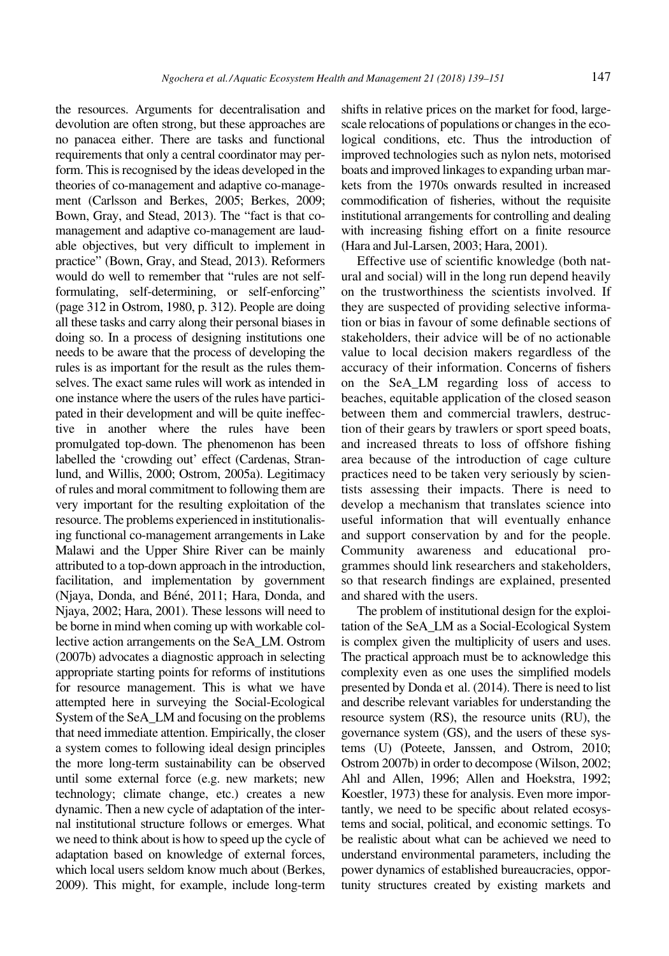the resources. Arguments for decentralisation and devolution are often strong, but these approaches are no panacea either. There are tasks and functional requirements that only a central coordinator may perform. This is recognised by the ideas developed in the theories of co-management and adaptive co-management (Carlsson and Berkes, 2005; Berkes, 2009; Bown, Gray, and Stead, 2013). The "fact is that comanagement and adaptive co-management are laudable objectives, but very difficult to implement in practice" (Bown, Gray, and Stead, 2013). Reformers would do well to remember that "rules are not selfformulating, self-determining, or self-enforcing" (page 312 in Ostrom, 1980, p. 312). People are doing all these tasks and carry along their personal biases in doing so. In a process of designing institutions one needs to be aware that the process of developing the rules is as important for the result as the rules themselves. The exact same rules will work as intended in one instance where the users of the rules have participated in their development and will be quite ineffective in another where the rules have been promulgated top-down. The phenomenon has been labelled the 'crowding out' effect (Cardenas, Stranlund, and Willis, 2000; Ostrom, 2005a). Legitimacy of rules and moral commitment to following them are very important for the resulting exploitation of the resource. The problems experienced in institutionalising functional co-management arrangements in Lake Malawi and the Upper Shire River can be mainly attributed to a top-down approach in the introduction, facilitation, and implementation by government (Njaya, Donda, and Béné, 2011; Hara, Donda, and Njaya, 2002; Hara, 2001). These lessons will need to be borne in mind when coming up with workable collective action arrangements on the SeA\_LM. Ostrom (2007b) advocates a diagnostic approach in selecting appropriate starting points for reforms of institutions for resource management. This is what we have attempted here in surveying the Social-Ecological System of the SeA\_LM and focusing on the problems that need immediate attention. Empirically, the closer a system comes to following ideal design principles the more long-term sustainability can be observed until some external force (e.g. new markets; new technology; climate change, etc.) creates a new dynamic. Then a new cycle of adaptation of the internal institutional structure follows or emerges. What we need to think about is how to speed up the cycle of adaptation based on knowledge of external forces, which local users seldom know much about (Berkes, 2009). This might, for example, include long-term

shifts in relative prices on the market for food, largescale relocations of populations or changes in the ecological conditions, etc. Thus the introduction of improved technologies such as nylon nets, motorised boats and improved linkages to expanding urban markets from the 1970s onwards resulted in increased commodification of fisheries, without the requisite institutional arrangements for controlling and dealing with increasing fishing effort on a finite resource (Hara and Jul-Larsen, 2003; Hara, 2001).

Effective use of scientific knowledge (both natural and social) will in the long run depend heavily on the trustworthiness the scientists involved. If they are suspected of providing selective information or bias in favour of some definable sections of stakeholders, their advice will be of no actionable value to local decision makers regardless of the accuracy of their information. Concerns of fishers on the SeA\_LM regarding loss of access to beaches, equitable application of the closed season between them and commercial trawlers, destruction of their gears by trawlers or sport speed boats, and increased threats to loss of offshore fishing area because of the introduction of cage culture practices need to be taken very seriously by scientists assessing their impacts. There is need to develop a mechanism that translates science into useful information that will eventually enhance and support conservation by and for the people. Community awareness and educational programmes should link researchers and stakeholders, so that research findings are explained, presented and shared with the users.

The problem of institutional design for the exploitation of the SeA\_LM as a Social-Ecological System is complex given the multiplicity of users and uses. The practical approach must be to acknowledge this complexity even as one uses the simplified models presented by Donda et al. (2014). There is need to list and describe relevant variables for understanding the resource system (RS), the resource units (RU), the governance system (GS), and the users of these systems (U) (Poteete, Janssen, and Ostrom, 2010; Ostrom 2007b) in order to decompose (Wilson, 2002; Ahl and Allen, 1996; Allen and Hoekstra, 1992; Koestler, 1973) these for analysis. Even more importantly, we need to be specific about related ecosystems and social, political, and economic settings. To be realistic about what can be achieved we need to understand environmental parameters, including the power dynamics of established bureaucracies, opportunity structures created by existing markets and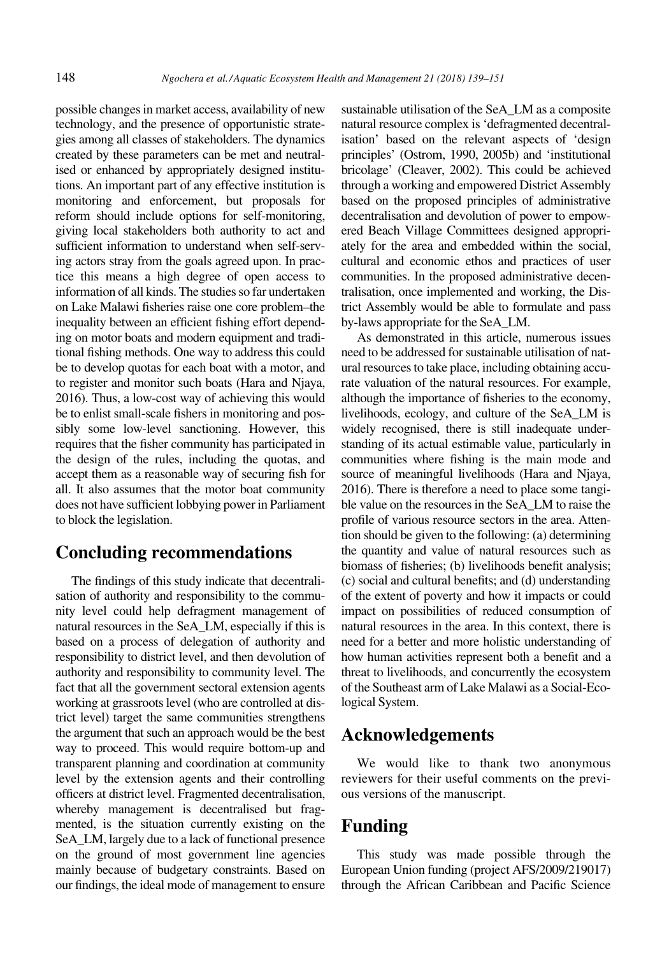possible changes in market access, availability of new technology, and the presence of opportunistic strategies among all classes of stakeholders. The dynamics created by these parameters can be met and neutralised or enhanced by appropriately designed institutions. An important part of any effective institution is monitoring and enforcement, but proposals for reform should include options for self-monitoring, giving local stakeholders both authority to act and sufficient information to understand when self-serving actors stray from the goals agreed upon. In practice this means a high degree of open access to information of all kinds. The studies so far undertaken on Lake Malawi fisheries raise one core problem–the inequality between an efficient fishing effort depending on motor boats and modern equipment and traditional fishing methods. One way to address this could be to develop quotas for each boat with a motor, and to register and monitor such boats (Hara and Njaya, 2016). Thus, a low-cost way of achieving this would be to enlist small-scale fishers in monitoring and possibly some low-level sanctioning. However, this requires that the fisher community has participated in the design of the rules, including the quotas, and accept them as a reasonable way of securing fish for all. It also assumes that the motor boat community does not have sufficient lobbying power in Parliament to block the legislation.

# Concluding recommendations

The findings of this study indicate that decentralisation of authority and responsibility to the community level could help defragment management of natural resources in the SeA\_LM, especially if this is based on a process of delegation of authority and responsibility to district level, and then devolution of authority and responsibility to community level. The fact that all the government sectoral extension agents working at grassroots level (who are controlled at district level) target the same communities strengthens the argument that such an approach would be the best way to proceed. This would require bottom-up and transparent planning and coordination at community level by the extension agents and their controlling officers at district level. Fragmented decentralisation, whereby management is decentralised but fragmented, is the situation currently existing on the SeA\_LM, largely due to a lack of functional presence on the ground of most government line agencies mainly because of budgetary constraints. Based on our findings, the ideal mode of management to ensure

sustainable utilisation of the SeA\_LM as a composite natural resource complex is 'defragmented decentralisation' based on the relevant aspects of 'design principles' (Ostrom, 1990, 2005b) and 'institutional bricolage' (Cleaver, 2002). This could be achieved through a working and empowered District Assembly based on the proposed principles of administrative decentralisation and devolution of power to empowered Beach Village Committees designed appropriately for the area and embedded within the social, cultural and economic ethos and practices of user communities. In the proposed administrative decentralisation, once implemented and working, the District Assembly would be able to formulate and pass by-laws appropriate for the SeA\_LM.

As demonstrated in this article, numerous issues need to be addressed for sustainable utilisation of natural resources to take place, including obtaining accurate valuation of the natural resources. For example, although the importance of fisheries to the economy, livelihoods, ecology, and culture of the SeA\_LM is widely recognised, there is still inadequate understanding of its actual estimable value, particularly in communities where fishing is the main mode and source of meaningful livelihoods (Hara and Njaya, 2016). There is therefore a need to place some tangible value on the resources in the SeA\_LM to raise the profile of various resource sectors in the area. Attention should be given to the following: (a) determining the quantity and value of natural resources such as biomass of fisheries; (b) livelihoods benefit analysis; (c) social and cultural benefits; and (d) understanding of the extent of poverty and how it impacts or could impact on possibilities of reduced consumption of natural resources in the area. In this context, there is need for a better and more holistic understanding of how human activities represent both a benefit and a threat to livelihoods, and concurrently the ecosystem of the Southeast arm of Lake Malawi as a Social-Ecological System.

# Acknowledgements

We would like to thank two anonymous reviewers for their useful comments on the previous versions of the manuscript.

# Funding

This study was made possible through the European Union funding (project AFS/2009/219017) through the African Caribbean and Pacific Science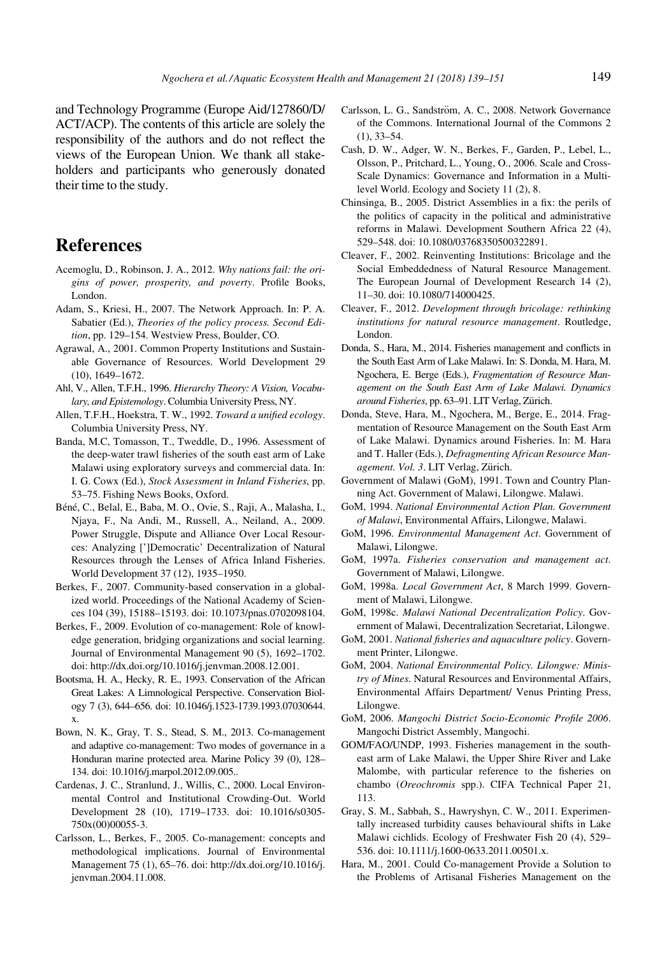and Technology Programme (Europe Aid/127860/D/ ACT/ACP). The contents of this article are solely the responsibility of the authors and do not reflect the views of the European Union. We thank all stakeholders and participants who generously donated their time to the study.

# References

- Acemoglu, D., Robinson, J. A., 2012. Why nations fail: the origins of power, prosperity, and poverty. Profile Books, London.
- Adam, S., Kriesi, H., 2007. The Network Approach. In: P. A. Sabatier (Ed.), Theories of the policy process. Second Edition, pp. 129–154. Westview Press, Boulder, CO.
- Agrawal, A., 2001. Common Property Institutions and Sustainable Governance of Resources. World Development 29 (10), 1649–1672.
- Ahl, V., Allen, T.F.H., 1996. Hierarchy Theory: A Vision, Vocabulary, and Epistemology. Columbia University Press, NY.
- Allen, T.F.H., Hoekstra, T. W., 1992. Toward a unified ecology. Columbia University Press, NY.
- Banda, M.C, Tomasson, T., Tweddle, D., 1996. Assessment of the deep-water trawl fisheries of the south east arm of Lake Malawi using exploratory surveys and commercial data. In: I. G. Cowx (Ed.), Stock Assessment in Inland Fisheries, pp. 53–75. Fishing News Books, Oxford.
- Bene, C., Belal, E., Baba, M. O., Ovie, S., Raji, A., Malasha, I., Njaya, F., Na Andi, M., Russell, A., Neiland, A., 2009. Power Struggle, Dispute and Alliance Over Local Resources: Analyzing [']Democratic' Decentralization of Natural Resources through the Lenses of Africa Inland Fisheries. World Development 37 (12), 1935–1950.
- Berkes, F., 2007. Community-based conservation in a globalized world. Proceedings of the National Academy of Sciences 104 (39), 15188–15193. doi: 10.1073/pnas.0702098104.
- Berkes, F., 2009. Evolution of co-management: Role of knowledge generation, bridging organizations and social learning. Journal of Environmental Management 90 (5), 1692–1702. doi: http://dx.doi.org/10.1016/j.jenvman.2008.12.001.
- Bootsma, H. A., Hecky, R. E., 1993. Conservation of the African Great Lakes: A Limnological Perspective. Conservation Biology 7 (3), 644–656. doi: 10.1046/j.1523-1739.1993.07030644. x.
- Bown, N. K., Gray, T. S., Stead, S. M., 2013. Co-management and adaptive co-management: Two modes of governance in a Honduran marine protected area. Marine Policy 39 (0), 128– 134. doi: 10.1016/j.marpol.2012.09.005..
- Cardenas, J. C., Stranlund, J., Willis, C., 2000. Local Environmental Control and Institutional Crowding-Out. World Development 28 (10), 1719–1733. doi: 10.1016/s0305- 750x(00)00055-3.
- Carlsson, L., Berkes, F., 2005. Co-management: concepts and methodological implications. Journal of Environmental Management 75 (1), 65–76. doi: http://dx.doi.org/10.1016/j. jenvman.2004.11.008.
- Carlsson, L. G., Sandström, A. C., 2008. Network Governance of the Commons. International Journal of the Commons 2 (1), 33–54.
- Cash, D. W., Adger, W. N., Berkes, F., Garden, P., Lebel, L., Olsson, P., Pritchard, L., Young, O., 2006. Scale and Cross-Scale Dynamics: Governance and Information in a Multilevel World. Ecology and Society 11 (2), 8.
- Chinsinga, B., 2005. District Assemblies in a fix: the perils of the politics of capacity in the political and administrative reforms in Malawi. Development Southern Africa 22 (4), 529–548. doi: 10.1080/03768350500322891.
- Cleaver, F., 2002. Reinventing Institutions: Bricolage and the Social Embeddedness of Natural Resource Management. The European Journal of Development Research 14 (2), 11–30. doi: 10.1080/714000425.
- Cleaver, F., 2012. Development through bricolage: rethinking institutions for natural resource management. Routledge, London.
- Donda, S., Hara, M., 2014. Fisheries management and conflicts in the South East Arm of Lake Malawi. In: S. Donda, M. Hara, M. Ngochera, E. Berge (Eds.), Fragmentation of Resource Management on the South East Arm of Lake Malawi. Dynamics around Fisheries, pp. 63-91. LIT Verlag, Zürich.
- Donda, Steve, Hara, M., Ngochera, M., Berge, E., 2014. Fragmentation of Resource Management on the South East Arm of Lake Malawi. Dynamics around Fisheries. In: M. Hara and T. Haller (Eds.), Defragmenting African Resource Management. Vol. 3. LIT Verlag, Zürich.
- Government of Malawi (GoM), 1991. Town and Country Planning Act. Government of Malawi, Lilongwe. Malawi.
- GoM, 1994. National Environmental Action Plan. Government of Malawi, Environmental Affairs, Lilongwe, Malawi.
- GoM, 1996. Environmental Management Act. Government of Malawi, Lilongwe.
- GoM, 1997a. Fisheries conservation and management act. Government of Malawi, Lilongwe.
- GoM, 1998a. Local Government Act, 8 March 1999. Government of Malawi, Lilongwe.
- GoM, 1998c. Malawi National Decentralization Policy. Government of Malawi, Decentralization Secretariat, Lilongwe.
- GoM, 2001. National fisheries and aquaculture policy. Government Printer, Lilongwe.
- GoM, 2004. National Environmental Policy. Lilongwe: Ministry of Mines. Natural Resources and Environmental Affairs, Environmental Affairs Department/ Venus Printing Press, Lilongwe.
- GoM, 2006. Mangochi District Socio-Economic Profile 2006. Mangochi District Assembly, Mangochi.
- GOM/FAO/UNDP, 1993. Fisheries management in the southeast arm of Lake Malawi, the Upper Shire River and Lake Malombe, with particular reference to the fisheries on chambo (Oreochromis spp.). CIFA Technical Paper 21, 113.
- Gray, S. M., Sabbah, S., Hawryshyn, C. W., 2011. Experimentally increased turbidity causes behavioural shifts in Lake Malawi cichlids. Ecology of Freshwater Fish 20 (4), 529– 536. doi: 10.1111/j.1600-0633.2011.00501.x.
- Hara, M., 2001. Could Co-management Provide a Solution to the Problems of Artisanal Fisheries Management on the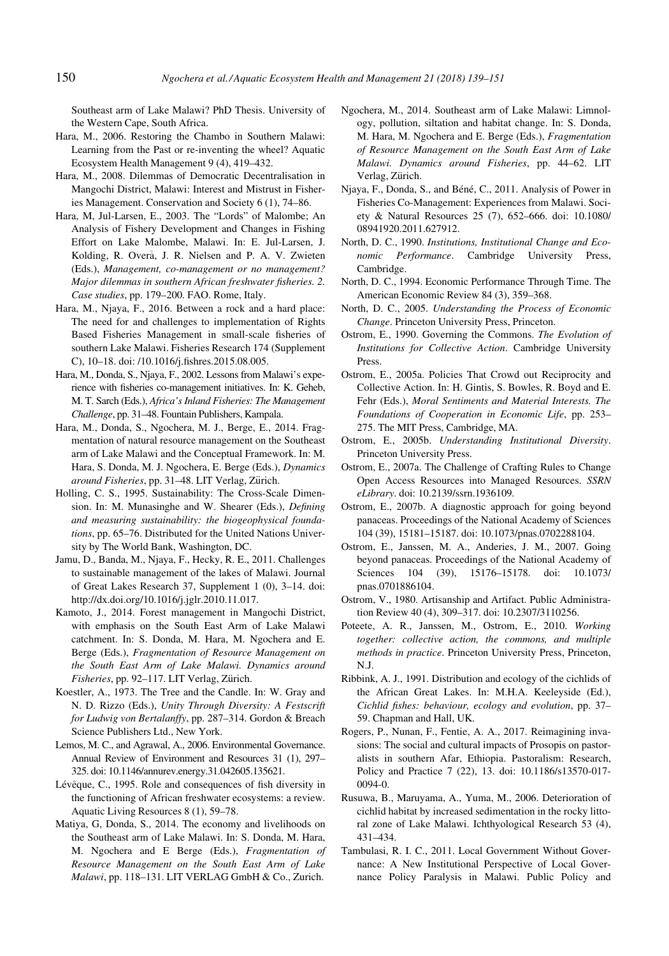Southeast arm of Lake Malawi? PhD Thesis. University of the Western Cape, South Africa.

- Hara, M., 2006. Restoring the Chambo in Southern Malawi: Learning from the Past or re-inventing the wheel? Aquatic Ecosystem Health Management 9 (4), 419–432.
- Hara, M., 2008. Dilemmas of Democratic Decentralisation in Mangochi District, Malawi: Interest and Mistrust in Fisheries Management. Conservation and Society 6 (1), 74–86.
- Hara, M, Jul-Larsen, E., 2003. The "Lords" of Malombe; An Analysis of Fishery Development and Changes in Fishing Effort on Lake Malombe, Malawi. In: E. Jul-Larsen, J. Kolding, R. Overa , J. R. Nielsen and P. A. V. Zwieten (Eds.), Management, co-management or no management? Major dilemmas in southern African freshwater fisheries. 2. Case studies, pp. 179–200. FAO. Rome, Italy.
- Hara, M., Njaya, F., 2016. Between a rock and a hard place: The need for and challenges to implementation of Rights Based Fisheries Management in small-scale fisheries of southern Lake Malawi. Fisheries Research 174 (Supplement C), 10–18. doi: /10.1016/j.fishres.2015.08.005.
- Hara, M., Donda, S., Njaya, F., 2002. Lessons from Malawi's experience with fisheries co-management initiatives. In: K. Geheb, M. T. Sarch (Eds.), Africa's Inland Fisheries: The Management Challenge, pp. 31–48. Fountain Publishers, Kampala.
- Hara, M., Donda, S., Ngochera, M. J., Berge, E., 2014. Fragmentation of natural resource management on the Southeast arm of Lake Malawi and the Conceptual Framework. In: M. Hara, S. Donda, M. J. Ngochera, E. Berge (Eds.), Dynamics around Fisheries, pp. 31–48. LIT Verlag, Zürich.
- Holling, C. S., 1995. Sustainability: The Cross-Scale Dimension. In: M. Munasinghe and W. Shearer (Eds.), Defining and measuring sustainability: the biogeophysical foundations, pp. 65–76. Distributed for the United Nations University by The World Bank, Washington, DC.
- Jamu, D., Banda, M., Njaya, F., Hecky, R. E., 2011. Challenges to sustainable management of the lakes of Malawi. Journal of Great Lakes Research 37, Supplement 1 (0), 3–14. doi: http://dx.doi.org/10.1016/j.jglr.2010.11.017.
- Kamoto, J., 2014. Forest management in Mangochi District, with emphasis on the South East Arm of Lake Malawi catchment. In: S. Donda, M. Hara, M. Ngochera and E. Berge (Eds.), Fragmentation of Resource Management on the South East Arm of Lake Malawi. Dynamics around Fisheries, pp. 92–117. LIT Verlag, Zürich.
- Koestler, A., 1973. The Tree and the Candle. In: W. Gray and N. D. Rizzo (Eds.), Unity Through Diversity: A Festscrift for Ludwig von Bertalanffy, pp. 287–314. Gordon & Breach Science Publishers Ltd., New York.
- Lemos, M. C., and Agrawal, A., 2006. Environmental Governance. Annual Review of Environment and Resources 31 (1), 297– 325. doi: 10.1146/annurev.energy.31.042605.135621.
- Lévêque, C., 1995. Role and consequences of fish diversity in the functioning of African freshwater ecosystems: a review. Aquatic Living Resources 8 (1), 59–78.
- Matiya, G, Donda, S., 2014. The economy and livelihoods on the Southeast arm of Lake Malawi. In: S. Donda, M. Hara, M. Ngochera and E Berge (Eds.), Fragmentation of Resource Management on the South East Arm of Lake Malawi, pp. 118-131. LIT VERLAG GmbH & Co., Zurich.
- Ngochera, M., 2014. Southeast arm of Lake Malawi: Limnology, pollution, siltation and habitat change. In: S. Donda, M. Hara, M. Ngochera and E. Berge (Eds.), Fragmentation of Resource Management on the South East Arm of Lake Malawi. Dynamics around Fisheries, pp. 44–62. LIT Verlag, Zürich.
- Njaya, F., Donda, S., and Béné, C., 2011. Analysis of Power in Fisheries Co-Management: Experiences from Malawi. Society & Natural Resources 25 (7), 652–666. doi: 10.1080/ 08941920.2011.627912.
- North, D. C., 1990. Institutions, Institutional Change and Economic Performance. Cambridge University Press, Cambridge.
- North, D. C., 1994. Economic Performance Through Time. The American Economic Review 84 (3), 359–368.
- North, D. C., 2005. Understanding the Process of Economic Change. Princeton University Press, Princeton.
- Ostrom, E., 1990. Governing the Commons. The Evolution of Institutions for Collective Action. Cambridge University Press.
- Ostrom, E., 2005a. Policies That Crowd out Reciprocity and Collective Action. In: H. Gintis, S. Bowles, R. Boyd and E. Fehr (Eds.), Moral Sentiments and Material Interests. The Foundations of Cooperation in Economic Life, pp. 253– 275. The MIT Press, Cambridge, MA.
- Ostrom, E., 2005b. Understanding Institutional Diversity. Princeton University Press.
- Ostrom, E., 2007a. The Challenge of Crafting Rules to Change Open Access Resources into Managed Resources. SSRN eLibrary. doi: 10.2139/ssrn.1936109.
- Ostrom, E., 2007b. A diagnostic approach for going beyond panaceas. Proceedings of the National Academy of Sciences 104 (39), 15181–15187. doi: 10.1073/pnas.0702288104.
- Ostrom, E., Janssen, M. A., Anderies, J. M., 2007. Going beyond panaceas. Proceedings of the National Academy of Sciences 104 (39), 15176–15178. doi: 10.1073/ pnas.0701886104.
- Ostrom, V., 1980. Artisanship and Artifact. Public Administration Review 40 (4), 309–317. doi: 10.2307/3110256.
- Poteete, A. R., Janssen, M., Ostrom, E., 2010. Working together: collective action, the commons, and multiple methods in practice. Princeton University Press, Princeton, N.J.
- Ribbink, A. J., 1991. Distribution and ecology of the cichlids of the African Great Lakes. In: M.H.A. Keeleyside (Ed.), Cichlid fishes: behaviour, ecology and evolution, pp. 37– 59. Chapman and Hall, UK.
- Rogers, P., Nunan, F., Fentie, A. A., 2017. Reimagining invasions: The social and cultural impacts of Prosopis on pastoralists in southern Afar, Ethiopia. Pastoralism: Research, Policy and Practice 7 (22), 13. doi: 10.1186/s13570-017- 0094-0.
- Rusuwa, B., Maruyama, A., Yuma, M., 2006. Deterioration of cichlid habitat by increased sedimentation in the rocky littoral zone of Lake Malawi. Ichthyological Research 53 (4), 431–434.
- Tambulasi, R. I. C., 2011. Local Government Without Governance: A New Institutional Perspective of Local Governance Policy Paralysis in Malawi. Public Policy and